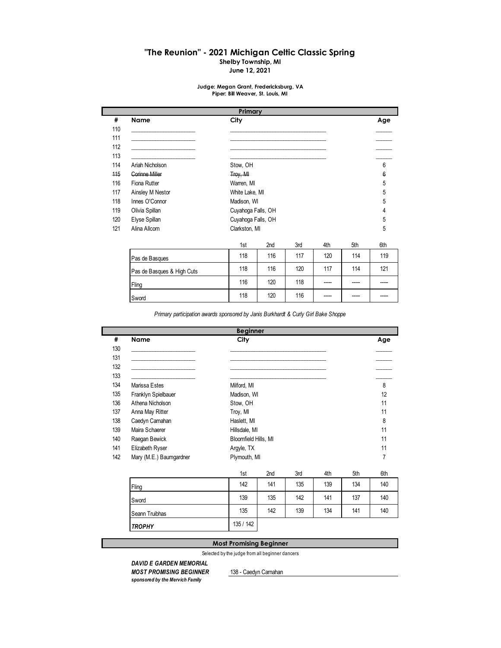# **"The Reunion" - 2021 Michigan Celtic Classic Spring**

**Shelby Township, MI**

**June 12, 2021**

#### **Judge: Megan Grant, Fredericksburg, VA Piper: Bill Weaver, St. Louis, MI**

|     |                            | Primary            |     |     |     |     |     |  |
|-----|----------------------------|--------------------|-----|-----|-----|-----|-----|--|
| #   | Name                       | City               |     |     |     |     | Age |  |
| 110 |                            |                    |     |     |     |     |     |  |
| 111 |                            |                    |     |     |     |     |     |  |
| 112 |                            |                    |     |     |     |     |     |  |
| 113 |                            |                    |     |     |     |     | 6   |  |
| 114 | Ariah Nicholson            | Stow, OH           |     |     |     |     |     |  |
| 115 | <b>Corinne Miller</b>      | Troy, MI           |     |     |     |     |     |  |
| 116 | Fiona Rutter               | Warren, MI         |     |     |     |     |     |  |
| 117 | Ainsley M Nestor           | White Lake, MI     |     |     |     |     |     |  |
| 118 | Innes O'Connor             | Madison, WI        |     |     |     |     |     |  |
| 119 | Olivia Spillan             | Cuyahoga Falls, OH |     |     |     |     |     |  |
| 120 | Elyse Spillan              | Cuyahoga Falls, OH |     |     |     |     | 5   |  |
| 121 | Alina Allcom               | Clarkston, MI      |     |     |     |     | 5   |  |
|     |                            | 1st                | 2nd | 3rd | 4th | 5th | 6th |  |
|     | Pas de Basques             | 118                | 116 | 117 | 120 | 114 | 119 |  |
|     | Pas de Basques & High Cuts | 118                | 116 | 120 | 117 | 114 | 121 |  |
|     | Fling                      | 116                | 120 | 118 |     |     |     |  |
|     | Sword                      | 118                | 120 | 116 |     |     |     |  |

*Primary participation awards sponsored by Janis Burkhardt & Curly Girl Bake Shoppe*

|     |                         | <b>Beginner</b>      |     |     |     |     |     |
|-----|-------------------------|----------------------|-----|-----|-----|-----|-----|
| #   | Name                    | City                 |     |     |     |     | Age |
| 130 |                         |                      |     |     |     |     |     |
| 131 |                         |                      |     |     |     |     |     |
| 132 |                         |                      |     |     |     |     |     |
| 133 |                         |                      |     |     |     |     |     |
| 134 | Marissa Estes           | Milford, MI          |     |     |     |     | 8   |
| 135 | Franklyn Spielbauer     | Madison, WI          |     |     |     |     | 12  |
| 136 | Athena Nicholson        | Stow, OH             |     |     |     |     | 11  |
| 137 | Anna May Ritter         | Troy, MI             |     |     |     |     | 11  |
| 138 | Caedyn Carnahan         | Haslett, MI          |     |     |     |     | 8   |
| 139 | Maira Schaerer          | Hillsdale, MI        |     |     |     |     | 11  |
| 140 | Raegan Bewick           | Bloomfield Hills, MI |     |     |     |     | 11  |
| 141 | Elizabeth Ryser         | Argyle, TX           |     |     |     |     | 11  |
| 142 | Mary (M.E.) Baumgardner | Plymouth, MI         |     |     |     |     | 7   |
|     |                         | 1st                  | 2nd | 3rd | 4th | 5th | 6th |

|                | .         |     | --- | .   | ---- | ---- |
|----------------|-----------|-----|-----|-----|------|------|
| Fling          | 142       | 141 | 135 | 139 | 134  | 140  |
| Sword          | 139       | 135 | 142 | 141 | 137  | 140  |
| Seann Truibhas | 135       | 142 | 139 | 134 | 141  | 140  |
| <b>TROPHY</b>  | 135 / 142 |     |     |     |      |      |

#### **Most Promising Beginner**

Selected by the judge from all beginner dancers

# *DAVID E GARDEN MEMORIAL MOST PROMISING BEGINNER* 138 - Caedyn Carnahan

*sponsored by the Mervich Family*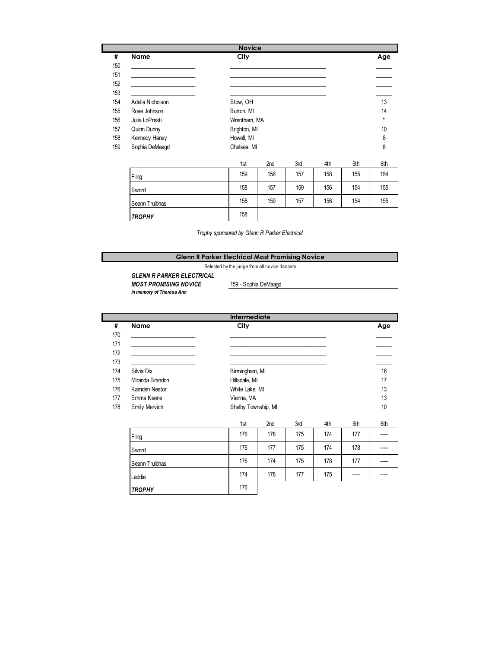|     |                  | <b>Novice</b> |                 |     |     |     |     |  |
|-----|------------------|---------------|-----------------|-----|-----|-----|-----|--|
| #   | Name             | City          |                 |     |     |     | Age |  |
| 150 |                  |               |                 |     |     |     |     |  |
| 151 |                  |               |                 |     |     |     |     |  |
| 152 |                  |               |                 |     |     |     |     |  |
| 153 |                  |               |                 |     |     |     |     |  |
| 154 | Adella Nicholson | Stow, OH      |                 |     |     |     |     |  |
| 155 | Rose Johnson     | Burton, MI    |                 |     |     |     |     |  |
| 156 | Julia LoPresti   | Wrentham, MA  |                 |     |     |     |     |  |
| 157 | Quinn Dunny      | Brighton, MI  |                 |     |     |     | 10  |  |
| 158 | Kennedy Haney    | Howell, MI    |                 |     |     |     | 8   |  |
| 159 | Sophia DeMaagd   | Chelsea, MI   |                 |     |     |     | 8   |  |
|     |                  | 1st           | 2 <sub>nd</sub> | 3rd | 4th | 5th | 6th |  |
|     | Fling            | 159           | 156             | 157 | 158 | 155 | 154 |  |
|     | Sword            | 158           | 157             | 159 | 156 | 154 | 155 |  |
|     | Seann Truibhas   | 158           | 159             | 157 | 156 | 154 | 155 |  |

*Trophy sponsored by Glenn R Parker Electrical*

## **Glenn R Parker Electrical Most Promising Novice**

Selected by the judge from all novice dancers

*GLENN R PARKER ELECTRICAL* **MOST PROMISING NOVICE** 159 - Sophia DeMaagd

*TROPHY* 158

*in memory of Theresa Ann*

|     |                      | <b>Intermediate</b> |                |     |     |     |     |  |
|-----|----------------------|---------------------|----------------|-----|-----|-----|-----|--|
| #   | <b>Name</b>          | City                |                |     |     |     | Age |  |
| 170 |                      |                     |                |     |     |     |     |  |
| 171 |                      |                     |                |     |     |     |     |  |
| 172 |                      |                     |                |     |     |     |     |  |
| 173 |                      |                     |                |     |     |     |     |  |
| 174 | Silvia Dix           |                     | Birmingham, MI |     |     |     |     |  |
| 175 | Miranda Brandon      |                     | Hillsdale, MI  |     |     |     |     |  |
| 176 | Kamden Nestor        |                     | White Lake, MI |     |     |     |     |  |
| 177 | Emma Keene           | Vienna, VA          |                |     |     |     | 13  |  |
| 178 | <b>Emily Mervich</b> | Shelby Township, MI |                |     |     |     | 10  |  |
|     |                      |                     |                |     |     |     |     |  |
|     |                      | 1st                 | 2nd            | 3rd | 4th | 5th | 6th |  |
|     | Fling                | 176                 | 178            | 175 | 174 | 177 |     |  |
|     | Sword                | 176                 | 177            | 175 | 174 | 178 |     |  |
|     | Seann Truibhas       | 176                 | 174            | 175 | 178 | 177 |     |  |
|     | Laddie               | 174                 | 178            | 177 | 175 |     |     |  |
|     | <b>TROPHY</b>        | 176                 |                |     |     |     |     |  |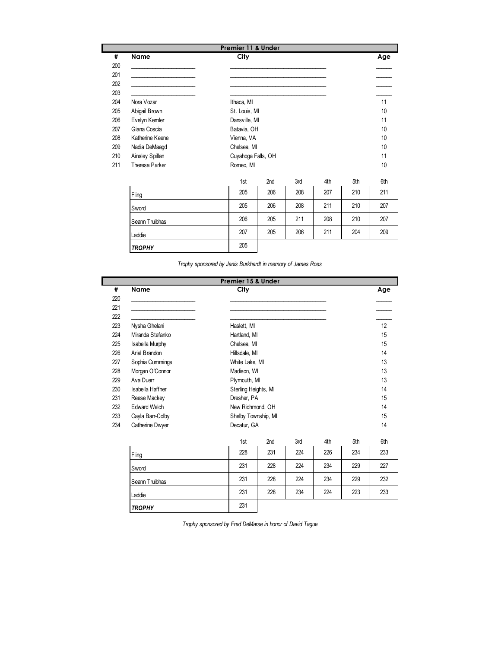|     |                 | Premier 11 & Under |     |     |     |     |     |  |
|-----|-----------------|--------------------|-----|-----|-----|-----|-----|--|
| #   | Name            | City               |     |     |     |     | Age |  |
| 200 |                 |                    |     |     |     |     |     |  |
| 201 |                 |                    |     |     |     |     |     |  |
| 202 |                 |                    |     |     |     |     |     |  |
| 203 |                 |                    |     |     |     |     |     |  |
| 204 | Nora Vozar      | Ithaca, MI         |     |     |     |     | 11  |  |
| 205 | Abigail Brown   | St. Louis, MI      |     | 10  |     |     |     |  |
| 206 | Evelyn Kemler   | Dansville, MI      |     | 11  |     |     |     |  |
| 207 | Giana Coscia    | Batavia, OH        |     |     |     |     |     |  |
| 208 | Katherine Keene | Vienna, VA         |     |     |     |     |     |  |
| 209 | Nadia DeMaagd   | Chelsea, MI        |     |     |     |     | 10  |  |
| 210 | Ainsley Spillan | Cuyahoga Falls, OH |     |     |     |     | 11  |  |
| 211 | Theresa Parker  | Romeo, MI          |     |     |     |     | 10  |  |
|     |                 | 1st                | 2nd | 3rd | 4th | 5th | 6th |  |
|     | Fling           | 205                | 206 | 208 | 207 | 210 | 211 |  |
|     | Sword           | 205                | 206 | 208 | 211 | 210 | 207 |  |
|     | Seann Truibhas  | 206                | 205 | 211 | 208 | 210 | 207 |  |
|     | Laddie          | 207                | 205 | 206 | 211 | 204 | 209 |  |
|     | <b>TROPHY</b>   | 205                |     |     |     |     |     |  |

*Trophy sponsored by Janis Burkhardt in memory of James Ross*

|     | Premier 15 & Under  |                      |              |     |     |     |     |  |  |  |
|-----|---------------------|----------------------|--------------|-----|-----|-----|-----|--|--|--|
| #   | <b>Name</b>         | City                 |              |     |     |     | Age |  |  |  |
| 220 |                     |                      |              |     |     |     |     |  |  |  |
| 221 |                     |                      |              |     |     |     |     |  |  |  |
| 222 |                     |                      |              |     |     |     |     |  |  |  |
| 223 | Nysha Ghelani       | Haslett, MI          |              | 12  |     |     |     |  |  |  |
| 224 | Miranda Stefanko    | Hartland, MI         |              |     |     |     | 15  |  |  |  |
| 225 | Isabella Murphy     | Chelsea, MI          |              |     |     |     | 15  |  |  |  |
| 226 | Arial Brandon       | Hillsdale, MI        |              |     |     |     | 14  |  |  |  |
| 227 | Sophia Cummings     | White Lake, MI       |              |     |     |     | 13  |  |  |  |
| 228 | Morgan O'Connor     | Madison, WI          |              |     |     |     | 13  |  |  |  |
| 229 | Ava Duerr           |                      | Plymouth, MI |     |     |     |     |  |  |  |
| 230 | Isabella Haffner    | Sterling Heights, MI |              |     |     |     |     |  |  |  |
| 231 | Reese Mackey        | Dresher, PA          |              |     |     |     | 15  |  |  |  |
| 232 | <b>Edward Welch</b> | New Richmond, OH     |              |     |     |     | 14  |  |  |  |
| 233 | Cayla Barr-Colby    | Shelby Township, MI  |              |     |     |     | 15  |  |  |  |
| 234 | Catherine Dwyer     | Decatur, GA          |              |     |     |     | 14  |  |  |  |
|     |                     | 1st                  | 2nd          | 3rd | 4th | 5th | 6th |  |  |  |
|     | Fling               | 228                  | 231          | 224 | 226 | 234 | 233 |  |  |  |
|     | Sword               | 231                  | 228          | 224 | 234 | 229 | 227 |  |  |  |
|     | Seann Truibhas      | 231                  | 228          | 224 | 234 | 229 | 232 |  |  |  |
|     | Laddie              | 231                  | 228          | 234 | 224 | 223 | 233 |  |  |  |
|     | <b>TROPHY</b>       | 231                  |              |     |     |     |     |  |  |  |

*Trophy sponsored by Fred DeMarse in honor of David Tague*